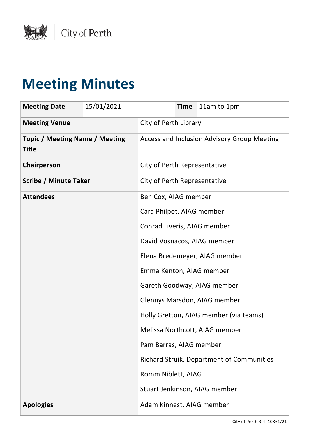

## **Meeting Minutes**

| <b>Meeting Date</b>                                   | 15/01/2021 |                              | <b>Time</b> | 11am to 1pm                                      |
|-------------------------------------------------------|------------|------------------------------|-------------|--------------------------------------------------|
| <b>Meeting Venue</b>                                  |            | City of Perth Library        |             |                                                  |
| <b>Topic / Meeting Name / Meeting</b><br><b>Title</b> |            |                              |             | Access and Inclusion Advisory Group Meeting      |
| Chairperson                                           |            | City of Perth Representative |             |                                                  |
| <b>Scribe / Minute Taker</b>                          |            | City of Perth Representative |             |                                                  |
| <b>Attendees</b>                                      |            | Ben Cox, AIAG member         |             |                                                  |
|                                                       |            | Cara Philpot, AIAG member    |             |                                                  |
|                                                       |            | Conrad Liveris, AIAG member  |             |                                                  |
|                                                       |            |                              |             | David Vosnacos, AIAG member                      |
|                                                       |            |                              |             | Elena Bredemeyer, AIAG member                    |
|                                                       |            | Emma Kenton, AIAG member     |             |                                                  |
|                                                       |            |                              |             | Gareth Goodway, AIAG member                      |
|                                                       |            |                              |             | Glennys Marsdon, AIAG member                     |
|                                                       |            |                              |             | Holly Gretton, AIAG member (via teams)           |
|                                                       |            |                              |             | Melissa Northcott, AIAG member                   |
|                                                       |            | Pam Barras, AIAG member      |             |                                                  |
|                                                       |            |                              |             | <b>Richard Struik, Department of Communities</b> |
|                                                       |            | Romm Niblett, AIAG           |             |                                                  |
|                                                       |            |                              |             | Stuart Jenkinson, AIAG member                    |
| <b>Apologies</b>                                      |            | Adam Kinnest, AIAG member    |             |                                                  |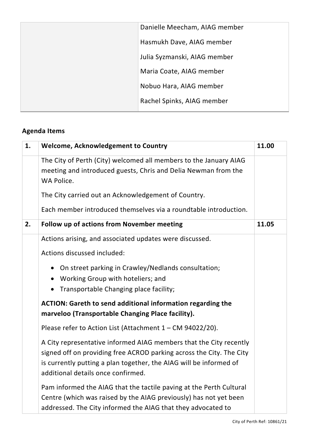| Danielle Meecham, AIAG member |
|-------------------------------|
| Hasmukh Dave, AIAG member     |
| Julia Syzmanski, AIAG member  |
| Maria Coate, AIAG member      |
| Nobuo Hara, AIAG member       |
| Rachel Spinks, AIAG member    |

## **Agenda Items**

| 1. | <b>Welcome, Acknowledgement to Country</b>                                                                                                                                                                                                             | 11.00 |
|----|--------------------------------------------------------------------------------------------------------------------------------------------------------------------------------------------------------------------------------------------------------|-------|
|    | The City of Perth (City) welcomed all members to the January AIAG<br>meeting and introduced guests, Chris and Delia Newman from the<br>WA Police.                                                                                                      |       |
|    | The City carried out an Acknowledgement of Country.                                                                                                                                                                                                    |       |
|    | Each member introduced themselves via a roundtable introduction.                                                                                                                                                                                       |       |
| 2. | Follow up of actions from November meeting                                                                                                                                                                                                             | 11.05 |
|    | Actions arising, and associated updates were discussed.                                                                                                                                                                                                |       |
|    | Actions discussed included:                                                                                                                                                                                                                            |       |
|    | On street parking in Crawley/Nedlands consultation;<br>Working Group with hoteliers; and<br>$\bullet$<br>Transportable Changing place facility;                                                                                                        |       |
|    | <b>ACTION: Gareth to send additional information regarding the</b><br>marveloo (Transportable Changing Place facility).                                                                                                                                |       |
|    | Please refer to Action List (Attachment 1 – CM 94022/20).                                                                                                                                                                                              |       |
|    | A City representative informed AIAG members that the City recently<br>signed off on providing free ACROD parking across the City. The City<br>is currently putting a plan together, the AIAG will be informed of<br>additional details once confirmed. |       |
|    | Pam informed the AIAG that the tactile paving at the Perth Cultural<br>Centre (which was raised by the AIAG previously) has not yet been<br>addressed. The City informed the AIAG that they advocated to                                               |       |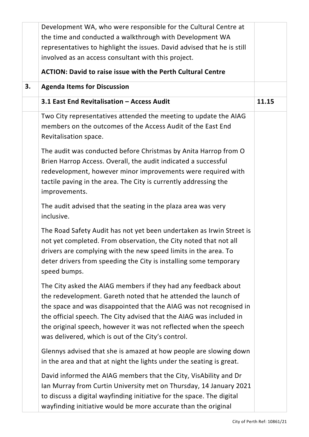|    | Development WA, who were responsible for the Cultural Centre at                                                                                                                                                                                                                                                                                                                                          |       |
|----|----------------------------------------------------------------------------------------------------------------------------------------------------------------------------------------------------------------------------------------------------------------------------------------------------------------------------------------------------------------------------------------------------------|-------|
|    | the time and conducted a walkthrough with Development WA                                                                                                                                                                                                                                                                                                                                                 |       |
|    | representatives to highlight the issues. David advised that he is still                                                                                                                                                                                                                                                                                                                                  |       |
|    | involved as an access consultant with this project.                                                                                                                                                                                                                                                                                                                                                      |       |
|    | <b>ACTION: David to raise issue with the Perth Cultural Centre</b>                                                                                                                                                                                                                                                                                                                                       |       |
| 3. | <b>Agenda Items for Discussion</b>                                                                                                                                                                                                                                                                                                                                                                       |       |
|    | 3.1 East End Revitalisation - Access Audit                                                                                                                                                                                                                                                                                                                                                               | 11.15 |
|    | Two City representatives attended the meeting to update the AIAG<br>members on the outcomes of the Access Audit of the East End<br>Revitalisation space.                                                                                                                                                                                                                                                 |       |
|    | The audit was conducted before Christmas by Anita Harrop from O<br>Brien Harrop Access. Overall, the audit indicated a successful<br>redevelopment, however minor improvements were required with<br>tactile paving in the area. The City is currently addressing the<br>improvements.                                                                                                                   |       |
|    | The audit advised that the seating in the plaza area was very<br>inclusive.                                                                                                                                                                                                                                                                                                                              |       |
|    | The Road Safety Audit has not yet been undertaken as Irwin Street is<br>not yet completed. From observation, the City noted that not all<br>drivers are complying with the new speed limits in the area. To<br>deter drivers from speeding the City is installing some temporary<br>speed bumps.                                                                                                         |       |
|    | The City asked the AIAG members if they had any feedback about<br>the redevelopment. Gareth noted that he attended the launch of<br>the space and was disappointed that the AIAG was not recognised in<br>the official speech. The City advised that the AIAG was included in<br>the original speech, however it was not reflected when the speech<br>was delivered, which is out of the City's control. |       |
|    | Glennys advised that she is amazed at how people are slowing down<br>in the area and that at night the lights under the seating is great.                                                                                                                                                                                                                                                                |       |
|    | David informed the AIAG members that the City, VisAbility and Dr<br>Ian Murray from Curtin University met on Thursday, 14 January 2021<br>to discuss a digital wayfinding initiative for the space. The digital<br>wayfinding initiative would be more accurate than the original                                                                                                                        |       |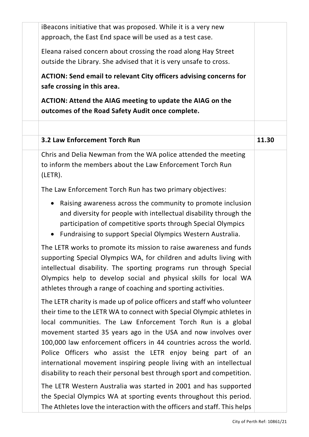| iBeacons initiative that was proposed. While it is a very new<br>approach, the East End space will be used as a test case.                                                                                                                                                                                                                                                                                                                                                                                                                                             |       |
|------------------------------------------------------------------------------------------------------------------------------------------------------------------------------------------------------------------------------------------------------------------------------------------------------------------------------------------------------------------------------------------------------------------------------------------------------------------------------------------------------------------------------------------------------------------------|-------|
| Eleana raised concern about crossing the road along Hay Street<br>outside the Library. She advised that it is very unsafe to cross.                                                                                                                                                                                                                                                                                                                                                                                                                                    |       |
| <b>ACTION: Send email to relevant City officers advising concerns for</b><br>safe crossing in this area.                                                                                                                                                                                                                                                                                                                                                                                                                                                               |       |
| ACTION: Attend the AIAG meeting to update the AIAG on the<br>outcomes of the Road Safety Audit once complete.                                                                                                                                                                                                                                                                                                                                                                                                                                                          |       |
| <b>3.2 Law Enforcement Torch Run</b>                                                                                                                                                                                                                                                                                                                                                                                                                                                                                                                                   | 11.30 |
| Chris and Delia Newman from the WA police attended the meeting<br>to inform the members about the Law Enforcement Torch Run<br>(LETR).                                                                                                                                                                                                                                                                                                                                                                                                                                 |       |
| The Law Enforcement Torch Run has two primary objectives:                                                                                                                                                                                                                                                                                                                                                                                                                                                                                                              |       |
| • Raising awareness across the community to promote inclusion<br>and diversity for people with intellectual disability through the<br>participation of competitive sports through Special Olympics<br>• Fundraising to support Special Olympics Western Australia.                                                                                                                                                                                                                                                                                                     |       |
| The LETR works to promote its mission to raise awareness and funds<br>supporting Special Olympics WA, for children and adults living with<br>intellectual disability. The sporting programs run through Special<br>Olympics help to develop social and physical skills for local WA<br>athletes through a range of coaching and sporting activities.                                                                                                                                                                                                                   |       |
| The LETR charity is made up of police officers and staff who volunteer<br>their time to the LETR WA to connect with Special Olympic athletes in<br>local communities. The Law Enforcement Torch Run is a global<br>movement started 35 years ago in the USA and now involves over<br>100,000 law enforcement officers in 44 countries across the world.<br>Police Officers who assist the LETR enjoy being part of an<br>international movement inspiring people living with an intellectual<br>disability to reach their personal best through sport and competition. |       |
| The LETR Western Australia was started in 2001 and has supported<br>the Special Olympics WA at sporting events throughout this period.<br>The Athletes love the interaction with the officers and staff. This helps                                                                                                                                                                                                                                                                                                                                                    |       |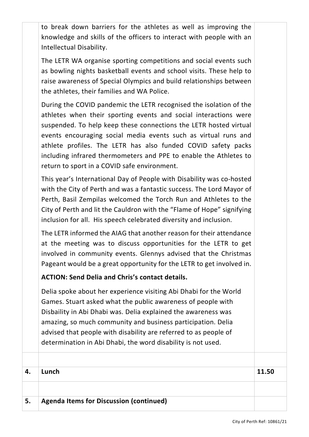to break down barriers for the athletes as well as improving the knowledge and skills of the officers to interact with people with an Intellectual Disability.

The LETR WA organise sporting competitions and social events such as bowling nights basketball events and school visits. These help to raise awareness of Special Olympics and build relationships between the athletes, their families and WA Police.

During the COVID pandemic the LETR recognised the isolation of the athletes when their sporting events and social interactions were suspended. To help keep these connections the LETR hosted virtual events encouraging social media events such as virtual runs and athlete profiles. The LETR has also funded COVID safety packs including infrared thermometers and PPE to enable the Athletes to return to sport in a COVID safe environment.

This year's International Day of People with Disability was co-hosted with the City of Perth and was a fantastic success. The Lord Mayor of Perth, Basil Zempilas welcomed the Torch Run and Athletes to the City of Perth and lit the Cauldron with the "Flame of Hope" signifying inclusion for all. His speech celebrated diversity and inclusion.

The LETR informed the AIAG that another reason for their attendance at the meeting was to discuss opportunities for the LETR to get involved in community events. Glennys advised that the Christmas Pageant would be a great opportunity for the LETR to get involved in.

## **ACTION: Send Delia and Chris's contact details.**

Delia spoke about her experience visiting Abi Dhabi for the World Games. Stuart asked what the public awareness of people with Disbaility in Abi Dhabi was. Delia explained the awareness was amazing, so much community and business participation. Delia advised that people with disability are referred to as people of determination in Abi Dhabi, the word disability is not used.

| 4. | Lunch                                          | 11.50 |
|----|------------------------------------------------|-------|
|    |                                                |       |
| 5. | <b>Agenda Items for Discussion (continued)</b> |       |